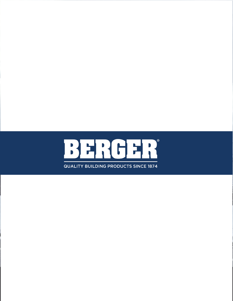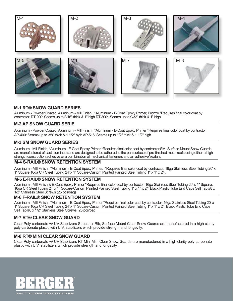

# **M-1 RT® SNOW GUARD SERIES**

Aluminum - Powder Coated, Aluminum - Mill Finish, \*Aluminum - E-Coat Epoxy Primer, Bronze \*Requires final color coat by contractor. RT-200: Seams up to 3/16" thick & 1" high RT-300: Seams up to 9/32" thick & 1" high.

### **M-2 AP SNOW GUARD SERIE**

Aluminum - Powder Coated, Aluminum - Mill Finish, \*Aluminum - E-Coat Epoxy Primer \*Requires final color coat by contractor. AP-400: Seams up to 3/8" thick & 1 1/2" high AP-516: Seams up to 1/2" thick & 1 1/2" high.

### **M-3 SM SNOW GUARD SERIES**

Aluminum - Mill Finish, \*Aluminum - E-Coat Epoxy Primer \*Requires final color coat by contractor.SM- Surface Mount Snow Guards are manufactured of cast aluminum and are designed to be adhered to the pan surface of pre-finished metal roofs using either a high strength construction adhesive or a combination of mechanical fasteners and an adhesive/sealant.

### **M-4 S-RAIL® SNOW RETENTION SYSTEM**

Aluminum - Mill Finish, \*Aluminum - E-Coat Epoxy Primer, \*Requires final color coat by contractor. 16ga Stainless Steel Tubing 20' x 1" Square 16ga CR Steel Tubing 24' x 1" Square-Custom Painted Painted Steel Tubing 1" x 1" x 24'.

### **M-5 E-RAIL® SNOW RETENTION SYSTEM**

Aluminum - Mill Finish & E-Coat Epoxy Primer \*Requires final color coat by contractor. 16ga Stainless Steel Tubing 20' x 1" Square. 16ga CR Steel Tubing 24' x 1" Square-Custom Painted Painted Steel Tubing 1" x 1" x 24' Black Plastic Tube End Caps Self Tap #8 x 1/2" Stainless Steel Screws (25 pcs/bag)

### **M-6 F-RAIL® SNOW RETENTION SYSTEM**

Aluminum - Mill Finish, \*Aluminum - E-Coat Epoxy Primer \*Requires final color coat by contractor. 16ga Stainless Steel Tubing 20' x 1" Square 16ga CR Steel Tubing 24' x 1" Square-Custom Painted Painted Steel Tubing 1" x 1" x 24' Black Plastic Tube End Caps Self Tap #8 x 1/2" Stainless Steel Screws (25 pcs/bag

### **M-7 RT® CLEAR SNOW GUARD**

Clear Poly-carbonate w/ UV Stabilizers Structural Rib, Surface Mount Clear Snow Guards are manufactured in a high clarity poly-carbonate plastic with U.V. stabilizers which provide strength and longevity.

### **M-8 RT® MINI CLEAR SNOW GUARD**

Clear Poly-carbonate w/ UV Stabilizers RT Mini Mini Clear Snow Guards are manufactured in a high clarity poly-carbonate plastic with U.V. stabilizers which provide strength and longevity.

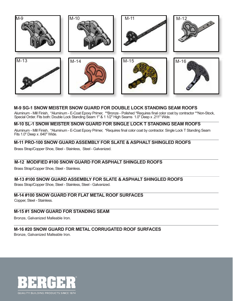

# **M-9 SG-1 SNOW MEISTER SNOW GUARD FOR DOUBLE LOCK STANDING SEAM ROOFS**

Aluminum - Mill Finish, \*Aluminum - E-Coat Epoxy Primer, \*\*Bronze - Polished \*Requires final color coat by contractor \*\*Non-Stock, Special Order. Fits both: Double Lock Standing Seam 1" & 1 1/2" High Seams 1.0" Deep x .211" Wide.

# **M-10 SL-1 SNOW MEISTER SNOW GUARD FOR SINGLE LOCK T STANDING SEAM ROOFS**

Aluminum - Mill Finish, \*Aluminum - E-Coat Epoxy Primer, \*Requires final color coat by contractor. Single Lock T Standing Seam Fits 1.0" Deep x .640" Wide.

### **M-11 PRO-100 SNOW GUARD ASSEMBLY FOR SLATE & ASPHALT SHINGLED ROOFS**

Brass Strap/Copper Shoe, Steel - Stainless, Steel - Galvanized.

# **M-12 MODIFIED #100 SNOW GUARD FOR ASPHALT SHINGLED ROOFS**

Brass Strap/Copper Shoe, Steel - Stainless.

### **M-13 #100 SNOW GUARD ASSEMBLY FOR SLATE & ASPHALT SHINGLED ROOFS**

Brass Strap/Copper Shoe, Steel - Stainless, Steel - Galvanized.

# **M-14 #100 SNOW GUARD FOR FLAT METAL ROOF SURFACES**

Copper, Steel - Stainless.

# **M-15 #1 SNOW GUARD FOR STANDING SEAM**

Bronze, Galvanized Malleable Iron.

# **M-16 #20 SNOW GUARD FOR METAL CORRUGATED ROOF SURFACES**

Bronze, Galvanized Malleable Iron.

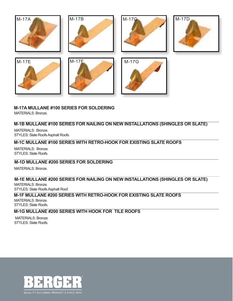

# **M-17A MULLANE #100 SERIES FOR SOLDERING**

MATERIALS: Bronze.

# **M-1B MULLANE #100 SERIES FOR NAILING ON NEW INSTALLATIONS (SHINGLES OR SLATE)**

MATERIALS: Bronze. STYLES: Slate Roofs Asphalt Roofs.

# **M-1C MULLANE #100 SERIES WITH RETRO-HOOK FOR EXISTING SLATE ROOFS**

MATERIALS: Bronze. STYLES: Slate Roofs.

# **M-1D MULLANE #200 SERIES FOR SOLDERING**

MATERIALS: Bronze.

# **M-1E MULLANE #200 SERIES FOR NAILING ON NEW INSTALLATIONS (SHINGLES OR SLATE)**

MATERIALS: Bronze. STYLES: Slate Roofs Asphalt Roof.

# **M-1F MULLANE #200 SERIES WITH RETRO-HOOK FOR EXISTING SLATE ROOFS**

MATERIALS: Bronze. STYLES: Slate Roofs.

# **M-1G MULLANE #200 SERIES WITH HOOK FOR TILE ROOFS**

MATERIALS: Bronze. STYLES: Slate Roofs.

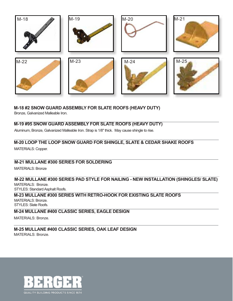

# **M-18 #2 SNOW GUARD ASSEMBLY FOR SLATE ROOFS (HEAVY DUTY)**

Bronze, Galvanized Malleable Iron.

# **M-19 #95 SNOW GUARD ASSEMBLY FOR SLATE ROOFS (HEAVY DUTY)**

Aluminum, Bronze, Galvanized Malleable Iron. Strap is 1/8" thick. May cause shingle to rise.

# **M-20 LOOP THE LOOP SNOW GUARD FOR SHINGLE, SLATE & CEDAR SHAKE ROOFS**

MATERIALS: Copper.

# **M-21 MULLANE #300 SERIES FOR SOLDERING**

MATERIALS: Bronze

# **M-22 MULLANE #300 SERIES PAD STYLE FOR NAILING - NEW INSTALLATION (SHINGLES/ SLATE)**

MATERIALS: Bronze. STYLES: Standard Asphalt Roofs.

#### **M-23 MULLANE #300 SERIES WITH RETRO-HOOK FOR EXISTING SLATE ROOFS** MATERIALS: Bronze. STYLES: Slate Roofs.

**M-24 MULLANE #400 CLASSIC SERIES, EAGLE DESIGN**

MATERIALS: Bronze.

### **M-25 MULLANE #400 CLASSIC SERIES, OAK LEAF DESIGN** MATERIALS: Bronze.

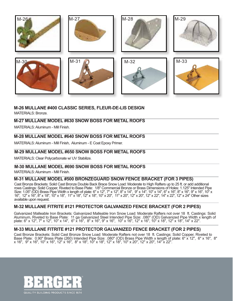

# **M-26 MULLANE #400 CLASSIC SERIES, FLEUR-DE-LIS DESIGN**

MATERIALS: Bronze.

# **M-27 MULLANE MODEL #630 SNOW BOSS FOR METAL ROOFS**

MATERIALS: Aluminum - Mill Finish.

# **M-28 MULLANE MODEL #640 SNOW BOSS FOR METAL ROOFS**

MATERIALS: Aluminum - Mill Finish, Aluminum - E Coat Epoxy Primer.

# **M-29 MULLANE MODEL #650 SNOW BOSS FOR METAL ROOFS**

MATERIALS: Clear Polycarbonate w/ UV Stabilize.

# **M-30 MULLANE MODEL #690 SNOW BOSS FOR METAL ROOFS**

MATERIALS: Aluminum - Mill Finish.

# **M-31 MULLANE MODEL #500 BRONZEGUARD SNOW FENCE BRACKET (FOR 3 PIPES)**

Cast Bronze Brackets: Solid Cast Bronze Double Back Brace Snow Load: Moderate to High Rafters up to 25 ft. or add additional rows Castings: Solid Copper, Riveted to Base Plate: 1/8" Commercial Bronze or Brass Dimensions of Holes: 1.125" Intended Pipe Size: 1.05" (OD) Brass Pipe Width x length of plate: 6" x 12", 7" x 12", 8" x 14", 9" x 14", 10" x 14", 6" x 16", 8" x 16", 9" x 16", 10" x 16", 12" x 16", 8" x 18", 10" x 18", 11" x 18", 12" x 18", 10" x 20", 11" x 20", 12" x 20", 12" x 22", 14" x 22", 12" x 24" Other sizes available upon request.

# **M-32 MULLANE FITRITE #121 PROTECTOR GALVANIZED FENCE BRACKET (FOR 2 PIPES)**

Galvanized Malleable Iron Brackets: Galvanized Malleable Iron Snow Load: Moderate Rafters not over 18 ft. Castings: Solid Aluminum, Riveted to Base Plate: 11 ga Galvanized Steel Intended Pipe Size: .080" (OD) Galvanized Pipe Width x length of plate: 6" x 12", 7" x 12", 10" x 14", 6" x 16", 8" x 16", 9" x 16", 10" x 16", 12" x 16", 10" x 18", 12" x 18", 14" x 22".

# **M-33 MULLANE FITRITE #121 PROTECTOR GALVANIZED FENCE BRACKET (FOR 2 PIPES)**

Cast Bronze Brackets: Solid Cast Bronze Snow Load: Moderate Rafters not over 18 ft. Castings: Solid Copper, Riveted to Base Plate: 0.90" Brass Plate (260) Intended Pipe Size: .080" (OD) Brass Pipe Width x length of plate: 6" x 12", 6" x 16", 8" x 16", 9" x 16", 10" x 16", 12" x 16", 8" x 18", 10" x 18", 12" x 18", 10" x 20", 12" x 20", 14" x 22".